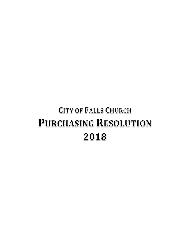# **CITY OF FALLS CHURCH PURCHASING RESOLUTION** 2018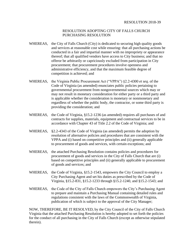#### RESOLUTION ADOPTING CITY OF FALLS CHURCH PURCHASING RESOLUTION

- WHEREAS, the City of Falls Church (City) is dedicated to securing high quality goods and services at reasonable cost while ensuring: that all purchasing actions be conducted in a fair and impartial manner with no impropriety or appearance thereof; that all qualified vendors have access to City business; and that no offeror be arbitrarily or capriciously excluded from participation in City procurement; that procurement procedures involve openness and administrative efficiency, and that the maximum feasible degree of competition is achieved; and
- WHEREAS, the Virginia Public Procurement Act ("VPPA") §2.2-4300 *et seq*. of the Code of Virginia (as amended) enunciates public policies pertaining to governmental procurement from nongovernmental sources which may or may not result in monetary consideration for either party or a third party and is applicable whether the consideration is monetary or nonmonetary and regardless of whether the public body, the contractor, or some third party is providing the consideration; and
- WHEREAS, the Code of Virginia, §15.2-1236 (as amended) requires all purchases of and contracts for supplies, materials, equipment and contractual services to be in accordance with Chapter 43 of Title 2.2 of the Code of Virginia; and
- WHEREAS, §2.2-4343 of the Code of Virginia (as amended) permits the adoption by resolution of alternative policies and procedures that are consistent with the VPPA and (i) based on competitive principles and (ii) generally applicable to procurement of goods and services, with certain exceptions; and
- WHEREAS, the attached Purchasing Resolution contains policies and procedures for procurement of goods and services in the City of Falls Church that are (i) based on competitive principles and (ii) generally applicable to procurement of goods and services; and
- WHEREAS, the Code of Virginia, §15.2-1543, empowers the City Council to employ a City Purchasing Agent and set his duties as prescribed by the Code of Virginia, §15.2-831, §15.2-1233 through §15.2-1240, and §15.2-1543; and
- WHEREAS, the Code of the City of Falls Church empowers the City's Purchasing Agent to prepare and maintain a Purchasing Manual containing detailed rules and regulations consistent with the laws of the Commonwealth of Virginia, publication of which is subject to the approval of the City Manager;

NOW, THEREFORE, BE IT RESOLVED, by the City Council of the City of Falls Church Virginia that the attached Purchasing Resolution is hereby adopted to set forth the policies for the conduct of all purchasing in the City of Falls Church (except as otherwise stipulated therein).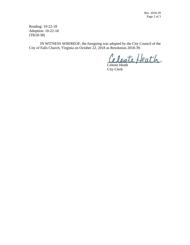Reading: 10-22-18 Adoption: 10-22-18 (TR18-38)

IN WITNESS WHEREOF, the foregoing was adopted by the City Council of the City of Falls Church, Virginia on October 22, 2018 as Resolution 2018-39.

eleste Heath

Celeste Heath City Clerk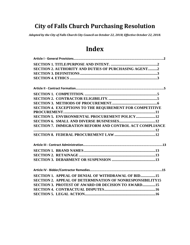# **City of Falls Church Purchasing Resolution**

*Adopted by the City of Falls Church City Council on October 22, 2018; Effective October 22, 2018.*

# **Index**

| SECTION 2. AUTHORITY AND DUTIES OF PURCHASING AGENT2             |
|------------------------------------------------------------------|
|                                                                  |
|                                                                  |
|                                                                  |
|                                                                  |
|                                                                  |
|                                                                  |
|                                                                  |
| SECTION 4. EXCEPTIONS TO THE REQUIREMENT FOR COMPETITIVE         |
|                                                                  |
| <b>SECTION 5. ENVIRONMENTAL PROCUREMENT POLICY12</b>             |
|                                                                  |
| SECTION 7. IMMIGRATION REFORM AND CONTROL ACT COMPLIANCE         |
|                                                                  |
|                                                                  |
|                                                                  |
|                                                                  |
|                                                                  |
|                                                                  |
|                                                                  |
|                                                                  |
|                                                                  |
| SECTION 1. APPEAL OF DENIAL OF WITHDRAWAL OF BID15               |
| <b>SECTION 2. APPEAL OF DETERMINATION OF NONRESPONSIBILITY15</b> |
| <b>SECTION 3. PROTEST OF AWARD OR DECISION TO AWARD15</b>        |
|                                                                  |
|                                                                  |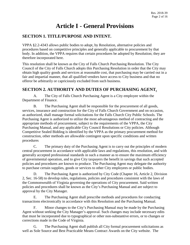# **Article I - General Provisions**

# <span id="page-4-1"></span><span id="page-4-0"></span>**SECTION 1. TITLE/PURPOSE AND INTENT.**

VPPA §2.2-4343 allows public bodies to adopt, by Resolution, alternative policies and procedures based on competitive principles and generally applicable to procurement by that body. In addition, the VPPA requires that certain procedures be adopted by Resolution; they are therefore incorporated here.

This resolution shall be known as the City of Falls Church Purchasing Resolution. The City Council of the City of Falls Church adopts this Purchasing Resolution in order that the City may obtain high quality goods and services at reasonable cost, that purchasing may be carried out in a fair and impartial manner, that all qualified vendors have access to City business and that no offeror be arbitrarily or capriciously excluded from such business.

# <span id="page-4-2"></span>**SECTION 2. AUTHORITY AND DUTIES OF PURCHASING AGENT.**

A. The City of Falls Church Purchasing Agent is a City employee within the Department of Finance.

B. The Purchasing Agent shall be responsible for the procurement of all goods, services, insurance and construction for the City of Falls Church Government and on occasion, as authorized, shall manage formal solicitations for the Falls Church City Public Schools. The Purchasing Agent is authorized to utilize the most advantageous method of contracting and the appropriate methods of procurement, subject to the requirements of the VPPA, the City Purchasing Manual, and any applicable City Council Resolutions or City policies. Although Competitive Sealed Bidding is identified by the VPPA as the primary procurement method for construction, other methods are allowable contingent upon specific conditions and written procedures

C. The primary duty of the Purchasing Agent is to carry out the principles of modern central procurement in accordance with applicable laws and regulations, this resolution, and with generally accepted professional standards in such a manner as to ensure the maximum efficiency of governmental operation, and to give City taxpayers the benefit in savings that such accepted policies and procedures are known to produce. The Purchasing Agent may delegate the authority to purchase certain supplies, goods or services to other City employees or public bodies.

D. The Purchasing Agent is authorized by City Code (Chapter 16, Article 2, Division 2, Sec. 16-58) to develop rules, regulations, policies and procedures consistent with the laws of the Commonwealth of Virginia governing the operations of City procurement. Said written policies and procedures shall be known as the City's Purchasing Manual and are subject to approval by the City Manager.

E. The Purchasing Agent shall prescribe methods and procedures for conducting transactions electronically in accordance with this Resolution and the Purchasing Manual.

F. Minor changes to the City's Purchasing Manual may be made by the Purchasing Agent without seeking the City Manager's approval. Such changes may include necessary edits that must be incorporated due to typographical or other non-substantive errors, or to changes or corrections made in the Code of Virginia.

G. The Purchasing Agent shall publish all City formal procurement solicitations as well as Sole Source and Best Practicable Means Contract Awards on the City website. The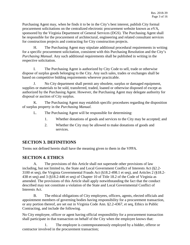Purchasing Agent may, when he finds it to be in the City's best interest, publish City formal procurement solicitations on the centralized electronic procurement website known as eVA, sponsored by the Virginia Department of General Services (DGS). The Purchasing Agent shall be responsible for the procurement of architectural, engineering and related consultant services for construction projects and contracting for City construction projects.

H. The Purchasing Agent may stipulate additional procedural requirements in writing for a specific procurement solicitation, consistent with this Purchasing Resolution and the City's *Purchasing Manual*. Any such additional requirements shall be published in writing in the respective solicitation.

I. The Purchasing Agent is authorized by City Code to sell, trade or otherwise dispose of surplus goods belonging to the City. Any such sales, trades or exchanges shall be based on competitive bidding requirements wherever practicable.

J. No City department shall permit any obsolete, surplus or damaged equipment, supplies or materials to be sold, transferred, traded, loaned or otherwise disposed of except as authorized by the Purchasing Agent. However, the Purchasing Agent may delegate authority for disposal or auction of City surplus.

K. The Purchasing Agent may establish specific procedures regarding the disposition of surplus property in the *Purchasing Manual*.

- L. The Purchasing Agent will be responsible for determining:
	- 1. Whether donations of goods and services to the City may be accepted; and
	- 2. Whether the City may be allowed to make donations of goods and services.

# <span id="page-5-0"></span>**SECTION 3. DEFINITIONS**

Terms not defined herein shall have the meaning given to them in the VPPA.

# <span id="page-5-1"></span>**SECTION 4. ETHICS**

A. The provisions of this Article shall not supersede other provisions of law including, but not limited to, the State and Local Government Conflict of Interests Act (§2.2- 3100 et seq), the Virginia Governmental Frauds Act (§18.2-498.1 et seq), and Articles 2 (§18.2- 438 et seq) and 3 (§18.2-446 et seq) of Chapter 10 of Title 18.2 of the Code of Virginia as amended. The provisions of this Article shall apply notwithstanding the fact that the conduct described may not constitute a violation of the State and Local Governmental Conflict of Interests Act.

B. The ethical obligations of City employees, officers, agents, elected officials and appointment members of governing bodies having responsibility for a procurement transaction, or any portion thereof, are set out in Virginia Code Ann. §2.2-4367, et seq, Ethics in Public Contracting, and include the following.

No City employee, officer or agent having official responsibility for a procurement transaction shall participate in that transaction on behalf of the City when the employee knows that:

1. The employee is contemporaneously employed by a bidder, offeror or contractor involved in the procurement transaction;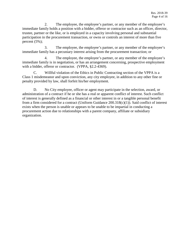2. The employee, the employee's partner, or any member of the employee's immediate family holds a position with a bidder, offeror or contractor such as an officer, director, trustee, partner or the like, or is employed in a capacity involving personal and substantial participation in the procurement transaction, or owns or controls an interest of more than five percent  $(5\%)$ ;

3. The employee, the employee's partner, or any member of the employee's immediate family has a pecuniary interest arising from the procurement transaction; or

4. The employee, the employee's partner, or any member of the employee's immediate family is in negotiation, or has an arrangement concerning, prospective employment with a bidder, offeror or contractor. (VPPA, §2.2-4369).

C. Willful violation of the Ethics in Public Contracting section of the VPPA is a Class 1 misdemeanor and upon conviction, any city employee, in addition to any other fine or penalty provided by law, shall forfeit his/her employment.

<span id="page-6-0"></span>D. No City employee, officer or agent may participate in the selection, award, or administration of a contract if he or she has a real or apparent conflict of interest. Such conflict of interest is generally defined as a financial or other interest in or a tangible personal benefit from a firm considered for a contract (Uniform Guidance 200.318(c)(1)). Said conflict of interest exists when the person is unable or appears to be unable to be impartial in conducting a procurement action due to relationships with a parent company, affiliate or subsidiary organization.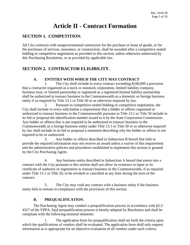# **Article II - Contract Formation**

# <span id="page-7-0"></span>**SECTION 1. COMPETITION.**

All City contracts with nongovernmental contractors for the purchase or lease of goods, or for the purchases of services, insurance, or construction, shall be awarded after a competitive sealed bidding or competitive negotiation as provided in this section, unless otherwise authorized by this Purchasing Resolution, or as provided by applicable law.

# <span id="page-7-1"></span>**SECTION 2. CONTRACTOR ELIGIBILITY.**

#### **A. ENTITIES WITH WHICH THE CITY MAY CONTRACT**

1. The City shall include in every contract exceeding \$100,000 a provision that a contractor organized as a stock or nonstock corporation, limited liability company, business trust, or limited partnership or registered as a registered limited liability partnership shall be authorized to transact business in the Commonwealth as a domestic or foreign business entity if so required by Title 13.1 or Title 50 or as otherwise required by law.

2. Pursuant to competitive sealed bidding or competitive negotiation, the City shall include in every solicitation a requirement that a bidder or offeror organized or authorized to transact business in the Commonwealth pursuant to Title 13.1 or Title 50 include in its bid or proposal the identification number issued to it by the State Corporation Commission. Any bidder or offeror that is not required to be authorized to transact business in the Commonwealth as a foreign business entity under Title 13.1 or Title 50 or as otherwise required by law shall include in its bid or proposal a statement describing why the bidder or offeror is not required to be so authorized.

3. Any bidder or offeror described in Subsection B hereof that fails to provide the required information may not receive an award unless a waiver of this requirement and the administrative policies and procedures established to implement this section is granted by the City Purchasing Agent.

4. Any business entity described in Subsection A hereof that enters into a contract with the City pursuant to this section shall not allow its existence to lapse or its certificate of authority or registration to transact business in the Commonwealth, if so required under Title 13.1 or Title 50, to be revoked or cancelled at any time during the term of the contract.

5. The City may void any contract with a business entity if the business entity fails to remain in compliance with the provisions of this section.

#### **B. PREQUALIFICATION.**

The Purchasing Agent may conduct a prequalification process in accordance with §2.2- 4317 of the VPPA. Said prequalification process is hereby adopted by Resolution and shall be compliant with the following minimal elements:

The application form for prequalification shall set forth the criteria upon which the qualifications of vendors shall be evaluated. The application form shall only request information as is appropriate for an objective evaluation of all vendors under such criteria.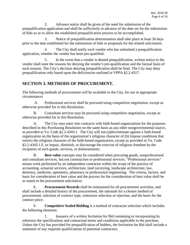2. Advance notice shall be given of the need for submission of the prequalification application and shall be sufficiently in advance of the date set for the submission of bids so as to allow the established prequalification process to be accomplished.

3. Notice of prequalification determination shall take place at least 30 days prior to the date established for the submission of bids or proposals for the related solicitation.

4. The City shall notify each vendor who has submitted a prequalification application, whether the vendor has been pre-qualified.

5. In the event that a vendor is denied prequalification, written notice to the vendor shall state the reasons for denying the vendor's pre-qualification and the factual basis of such reasons. The City's decision denying prequalification shall be final. The City may deny prequalification only based upon the deficiencies outlined in VPPA §2.2-4317.

# <span id="page-8-0"></span>**SECTION 3. METHODS OF PROCUREMENT.**

The following methods of procurement will be available to the City, for use in appropriate circumstance**:**

A. Professional services shall be procured using competitive negotiation, except as otherwise provided for in this Resolution.

B. Consultant services may be procured using competitive negotiation, except as otherwise provided for in this Resolution.

A. The City may enter into contracts with faith-based organizations for the purposes described in this Purchasing Resolution on the same basis as any other nongovernmental source, as provided in Va. Code §2.2-4343.1. The City will not (a)discriminate against a faith-based organization on the basis of the organization's religious character of (b) impose conditions that restrict the religious character of the faith-based organization, except as provided in Va. Code §2.2-4343.1.F, or impair, diminish, or discourage the exercise of religious freedom by the recipients of such goods, services, or disbursements.

B. **Best value** concepts may be considered when procuring goods, nonprofessional and consultant services, but not construction or professional services. "Professional services" means work performed by an independent contractor within the scope of the practice of accounting, actuarial services, architecture, land surveying, landscape architecture, law, dentistry, medicine, optometry, pharmacy or professional engineering. The criteria, factors, and basis for consideration of best value and the process for the consideration of best value shall be as stated in the procurement solicitation.

E. **Procurement Records** shall be maintained for all procurement activities, and shall include a detailed history of the procurement, the rationale for a chosen method of procurement, selection of contract type, contractor selection or rejection, and the basis for the contract price.

F. **Competitive Sealed Bidding** is a method of contractor selection which includes the following elements:

1. Issuance of a written Invitation for Bid containing or incorporating by reference the specifications and contractual terms and conditions applicable to the purchase. Unless the City has provided for prequalification of bidders, the Invitation for Bid shall include a statement of any requisite qualifications of potential contractors.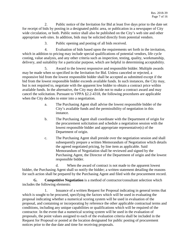2. Public notice of the Invitation for Bid at least five days prior to the date set for receipt of bids by posting in a designated public area, or publication in a newspaper of City wide circulation, or both. Public notice shall also be published on the City's web site and other appropriate web sites. In addition, bids may be solicited directly from potential vendors.

3. Public opening and posting of all bids received.

4. Evaluation of bids based upon the requirements set forth in the invitation, which in addition to pricing may include special qualifications of potential vendors, life cycle costing, value analysis, and any other criteria such as inspection, testing, quality, workmanship, delivery, and suitability for a particular purpose, which are helpful in determining acceptability.

5. Award to the lowest responsive and responsible bidder. Multiple awards may be made when so specified in the Invitation for Bid. Unless canceled or rejected, a responsive bid from the lowest responsible bidder shall be accepted as submitted except if the bid from the lowest responsible bidder exceeds available funds. In such instances, the City may, but is not required to, negotiate with the apparent low bidder to obtain a contract price within available funds. In the alternative, the City may decide not to make a contract award and may cancel the solicitation. Pursuant to VPPA §2.2-4318, the following procedures are applicable when the City decides to enter into a negotiation.

- a. The Purchasing Agent shall advise the lowest responsible bidder of the City's available funds and the permissibility of negotiation in this instance.
- b. The Purchasing Agent shall coordinate with the Department of origin for the procurement solicitation and schedule a negotiation session with the lowest responsible bidder and appropriate representative(s) of the Department of origin.
- c. The Purchasing Agent shall preside over the negotiation session and shall subsequently prepare a written Memorandum of Negotiation which details the agreed negotiated pricing, by line item as applicable. Said Memorandum of Negotiation shall be reviewed and signed by the Purchasing Agent, the Director of the Department of origin and the lowest responsible bidder.

d. When the award of contract is not made to the apparent lowest bidder, the Purchasing Agent shall so notify the bidder; a written statement detailing the reasons for such action shall be prepared by the Purchasing Agent and filed with the procurement record.

**G. Competitive Negotiation** is a method of contractor/consultant selection which includes the following elements:

1. Issuance of a written Request for Proposal indicating in general terms that which is sought to be procured, specifying the factors which will be used in evaluating the proposal indicating whether a numerical scoring system will be used in evaluation of the proposal, and containing or incorporating by reference the other applicable contractual terms and conditions, including any unique capabilities or qualifications which will be required of the contractor. In the event that a numerical scoring system will be used in the evaluation of proposals, the point values assigned to each of the evaluation criteria shall be included in the Request for Proposal or posted at the location designated for public posting of procurement notices prior to the due date and time for receiving proposals.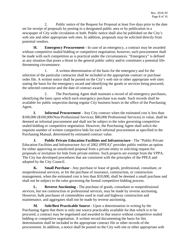2. Public notice of the Request for Proposal at least five days prior to the date set for receipt of proposals by posting in a designated public area or by publication in a newspaper of City wide circulation or both. Public notice shall also be published on the City's web site and other appropriate web sites*.* In addition, proposals may be solicited directly from potential vendors.

**H. Emergency Procurement -** In case of an emergency, a contract may be awarded without competitive sealed bidding or competitive negotiation; however, such procurement shall be made with such competition as is practical under the circumstances. "Emergency" is defined as any situation that poses a threat to the general public safety and/or constitutes a potential lifethreatening circumstance.

1. A written determination of the basis for the emergency and for the selection of the particular contractor shall be included in the appropriate contract or purchase order file. A written notice shall be posted on the City's web site or other appropriate web sites stating the basis for the emergency award and identifying the goods or services being procured, the selected contractor and the date of contract award.

2. The Purchasing Agent shall maintain a record of all emergency purchases, identifying the basis upon which each emergency purchase was made. Such records shall be available for public inspection during regular City business hours in the office of the Purchasing Agent.

**I. Informal Procurement** - Any City contract when the estimated cost is less than \$100,000 (\$100,000/Non-Professional Services; \$80,000 Professional Services) in value, shall be deemed an informal procurement and shall not be subject to the rules governing competitive sealed bidding or competitive negotiation. However, the Purchasing Agent shall solicit the requisite number of written competitive bids for each informal procurement as specified in the Purchasing Manual, determined by estimated contract value.

**J. Public Private Education Facilities and Infrastructure** - The "Public-Private Education Facilities and Infrastructure Act of 2002 (PPEA)" provides public entities an option for either approving an unsolicited proposal from a private entity or soliciting request for proposals or invitation for bids from private entities. Such projects are exempt from the VPPA. The City has developed procedures that are consistent with the principles of the PPEA and adopted by the City Council.

**K. Small Purchase** - Any purchase or lease of goods, professional, consultant, or nonprofessional services, or for the purchase of insurance, construction, or construction management, when the estimated cost is less than \$10,000, shall be deemed a small purchase and shall not be subject to the rules governing the formal competitive bidding process.

**L. Reverse Auctioning** - The purchase of goods, consultant or nonprofessional services, but not construction or professional services, may be made by reverse auctioning. However, bulk purchases of commodities used in road and highway construction and maintenance, and aggregates shall not be made by reverse auctioning.

**M. Sole/Best Practicable Source** - Upon a determination in writing by the Purchasing Agent that there is only one source practicably available for that which is to be procured, a contract may be negotiated and awarded to that source without competitive sealed bidding or competitive negotiation. A written record documenting the basis for this determination shall be included in the appropriate contract file or other records of the procurement. In addition, a notice shall be posted on the City web site or other appropriate web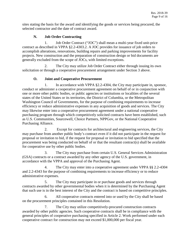sites stating the basis for the award and identifying the goods or services being procured, the selected contractor and the date of contract award.

#### **N. Job Order Contracting**

1. Job Order Contract ("JOC") shall mean a multi-year fixed unit-price contract as described in VPPA §2.2-4303.2. A JOC provides for issuance of job orders to accomplish alterations, renovations, building repairs and parking improvements for facility projects. New construction and the preparation of construction design or bid documents are generally excluded from the scope of JOCs, with limited exceptions.

2. The City may utilize Job Order Contract either through issuing its own solicitation or through a cooperative procurement arrangement under Section 3 above.

#### **O. Joint and Cooperative Procurement**

1. In accordance with VPPA §2.2-4304, the City may participate in, sponsor, conduct or administer a cooperative procurement agreement on behalf of or in conjunction with one or more other public bodies, or public agencies or institutions or localities of the several states of the United States or its territories, the District of Columbia, or the Metropolitan Washington Council of Governments, for the purpose of combining requirements to increase efficiency or reduce administrative expenses in any acquisition of goods and services. The City may likewise enter into a cooperative procurement agreement under a national cooperative purchasing program through which competitively solicited contracts have been established, such as U.S. Communities, Sourcewell, Choice Partners, NPPGov, or the National Cooperative Purchasing Alliance.

2. Except for contracts for architectural and engineering services, the City may purchase from another public body's contract even if it did not participate in the request for proposal or invitation to bid, if the request for proposal or invitation to bid specified that the procurement was being conducted on behalf of or that the resultant contract(s) shall be available for cooperative use by other public bodies.

3. The City may purchase from certain U.S. General Services Administration (GSA) contracts or a contract awarded by any other agency of the U.S. government, in accordance with the VPPA and approval of the Purchasing Agent.

4. The City may enter into a cooperative agreement under VPPA §§ 2.2-4304 and 2.2-4343 for the purpose of combining requirements to increase efficiency or to reduce administrative expenses.

5. The City may participate in or purchase goods and services through contracts awarded by other governmental bodies when it is determined by the Purchasing Agent that such use is in the best interest of the City and the contract is based on competitive principles.

6. All cooperative contracts entered into or used by the City shall be based on the procurement principles contained in this Resolution.

7. The City may utilize competitively-procured construction contracts awarded by other public agencies. Such cooperative contracts shall be in compliance with the general principles of cooperative purchasing specified in Article 2. Work performed under each cooperative contract for construction may not exceed \$1,000,000 per fiscal year.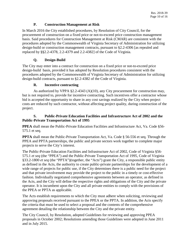#### **P. Construction Management at Risk**

In March 2016 the City established procedures, by Resolution of City Council, for the procurement of construction on a fixed price or not-to-exceed price construction management basis. Said procedures for Construction Management at Risk (CMAR) are consistent with the procedures adopted by the Commonwealth of Virginia Secretary of Administration for utilizing design-build or construction management contracts, pursuant to §2.2-4306 [as repealed and replaced by §§2.2-4378, 2.2-4379 and 2.2-4382] of the Code of Virginia.

#### **Q. Design-Build**

The City may enter into a contract for construction on a fixed price or not-to-exceed price design-build basis, provided it has adopted by Resolution procedures consistent with the procedures adopted by the Commonwealth of Virginia Secretary of Administration for utilizing design-build contracts, pursuant to §2.2-4382 of the Code of Virginia.

#### **R. Incentive contracting**

As authorized by VPPA §2.2-4343 (A)(10), any City procurement for construction may, but is not required to, provide for incentive contracting. Such incentives offer a contractor whose bid is accepted the opportunity to share in any cost savings realized by the City when project costs are reduced by such contractor, without affecting project quality, during construction of the project.

#### **S. Public-Private Education Facilities and Infrastructure Act of 2002 and the Public-Private Transportation Act of 1995**

**PPEA** shall mean the Public-Private Education Facilities and Infrastructure Act, Va. Code §56- 575.1 et seq.

**PPTA** shall mean the Public-Private Transportation Act, Va. Code § 56-556 et seq. Through the PPEA and PPTA partnerships, the public and private sectors work together to complete major projects to serve the City's interest.

The Public-Private Education Facilities and Infrastructure Act of 2002, Code of Virginia §56- 575.1 *et seq* (the "PPEA") and the Public-Private Transportation Act of 1995, Code of Virginia §33.2-1800 *et seq* (the "PPTA")(together, the "Acts") grant the City, a responsible public entity as defined in the Acts, the authority to create public-private partnerships for the development of a wide range of projects for public use, if the City determines there is a public need for the project and that private involvement may provide the project to the public in a timely or cost-effective fashion. Individually negotiated comprehensive agreements between an operator, as defined in the Acts, and the City will define the respective rights and obligations of the City and the private operator. It is incumbent upon the City and all private entities to comply with the provisions of the PPEA or PPTA as applicable.

The Acts establish requirements to which the City must adhere when soliciting, reviewing and approving proposals received pursuant to the PPEA or the PPTA. In addition, the Acts specify the criteria that must be used to select a proposal and the contents of the comprehensive agreement detailing the relationship between the City and the private entity.

The City Council, by Resolution, adopted Guidelines for reviewing and approving PPEA proposals in October 2002; Resolutions amending those Guidelines were adopted in June 2011 and in July 2015.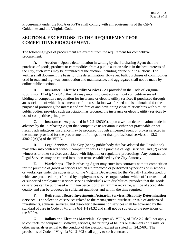Procurement under the PPEA or PPTA shall comply with all requirements of the City's Guidelines and the Virginia Code.

# <span id="page-13-0"></span>**SECTION 4. EXCEPTIONS TO THE REQUIREMENT FOR COMPETITIVE PROCUREMENT.**

The following types of procurement are exempt from the requirement for competitive procurement:

**A. Auction** - Upon a determination in writing by the Purchasing Agent that the purchase of goods, products or commodities from a public auction sale is in the best interests of the City, such items may be purchased at the auction, including online public auctions. The writing shall document the basis for this determination. However, bulk purchases of commodities used in road and highway construction and maintenance, and aggregates shall not be made by online public auctions.

**B**. **Insurance / Electric Utility Services** - As provided in the Code of Virginia, subdivision 13 of §2.2-4345, the City may enter into contracts without competitive sealed bidding or competitive negotiation for insurance or electric utility services if purchased through an association of which it is a member if the association was formed and is maintained for the purpose of promoting the interest and welfare of and developing close relationships with similar public bodies, provided such association has procured the insurance or electric utility services by use of competitive principles.

**C**. **Insurance** - As provided in § 2.2-4303(C), upon a written determination made in advance by the Purchasing Agent that competitive negotiation is either not practicable or not fiscally advantageous, insurance may be procured through a licensed agent or broker selected in the manner provided for the procurement of things other than professional services in §2.2- 4302.2(A)(3) of the VPPA.

**D**. **Legal Services** - The City (or any public body that has adopted this Resolution) may enter into contracts without competition for (1) the purchase of legal services; and (2) expert witnesses or other services associated with litigation or regulatory proceedings. Any contract for Legal Services may be entered into upon terms established by the City Attorney.

**E**. **Workshops** - The Purchasing Agent may enter into contracts without competition for the purchase of goods or services which are produced or performed by persons or in schools or workshops under the supervision of the Virginia Department for the Visually Handicapped; or which are produced or performed by employment services organizations which offer transitional or supported employment services serving individuals with disabilities, provided that the goods or services can be purchased within ten percent of their fair market value, will be of acceptable quality and can be produced in sufficient quantities and within the time required.

**F**. **Retirement Board Investments, Actuarial Services, Disability Determination Services** - The selection of services related to the management, purchase, or sale of authorized investments, actuarial services, and disability determination services shall be governed by the standard of care in Code of Virginia §51.1-124.32 and shall not be subject to the provisions of the VPPA.

**G**. **Ballots and Elections Materials** - Chapter 43, VPPA, of Title 2.2 shall not apply to contracts for equipment, software, services, the printing of ballots or statements of results, or other materials essential to the conduct of the election, except as stated in §24.2-602. The provisions of Code of Virginia §24.2-602 shall apply to such contracts.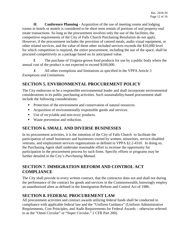**H**. **Conference Planning** - Acquisition of the use of meeting rooms and lodging rooms in hotels or motels is considered to be short term rentals of portions of real property-real estate transactions. So long as the procurement involves only the use of the facilities, the competitive requirements of the City of Falls Church Purchasing Resolution do not apply. However, if the procurement includes the provision of catered meals, audio visual equipment, or other related services, and the value of these other included services exceeds the \$10,000 level for which competition is required, the entire procurement, including the use of the space, shall be procured competitively as a package based on its anticipated value.

**I**. The purchase of Virginia-grown food products for use by a public body where the annual cost of the product is not expected to exceed \$100,000.

**J**. All other exemptions and limitations as specified in the VPPA Article 3 *Exemptions and Limitations*.

### <span id="page-14-0"></span>**SECTION 5. ENVIRONMENTAL PROCUREMENT POLICY**

The City endeavors to be a responsible environmental leader and shall incorporate environmental considerations in its public purchasing activities. Such sustainability-based procurement shall include the following considerations:

- Protection of the environment and conservation of natural resources.
- Acquisition of environmentally responsible goods and services.
- Use of recyclable and non-toxic products.
- Waste prevention and reduction.

# <span id="page-14-1"></span>**SECTION 6. SMALL AND DIVERSE BUSINESSES**

In its procurement activities, it is the intention of the City of Falls Church to facilitate the participation of small businesses and businesses owned by women, minorities, service-disabled veterans, and employment services organizations as defined in VPPA §2.2-4310. In doing so, the Purchasing Agent shall undertake reasonable effort to increase the opportunity for participation in the procurement process by such firms. Specific efforts or programs may be further detailed in the City's *Purchasing Manual*.

### <span id="page-14-2"></span>**SECTION 7. IMMIGRATION REFORM AND CONTROL ACT COMPLIANCE**

The City shall provide in every written contract, that the contractor does not and shall not during the performance of the contract for goods and services in the Commonwealth, knowingly employ an unauthorized alien as defined in the Immigration Reform and Control Act of 1986.

# <span id="page-14-3"></span>**SECTION 8. FEDERAL PROCUREMENT LAW**

<span id="page-14-4"></span>All procurement activities and contract awards utilizing federal funds shall be conducted in compliance with applicable federal law and the "Uniform Guidance" (Uniform Administrative Requirements, Cost Principles, and Audit Requirements for Federal Awards – otherwise referred to as the "Omni Circular" or "Super Circular," 2 CFR Part 200).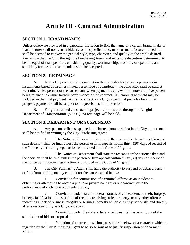# **Article III - Contract Administration**

# <span id="page-15-0"></span>**SECTION 1. BRAND NAMES**

Unless otherwise provided in a particular Invitation to Bid, the name of a certain brand, make or manufacturer shall not restrict bidders to the specific brand, make or manufacturer named but shall be deemed to convey the general style, type, character, and quality of the article desired. Any article that the City, through the Purchasing Agent and in its sole discretion, determined, to be the equal of that specified, considering quality, workmanship, economy of operation, and suitability for the purpose intended, shall be accepted.

# <span id="page-15-1"></span>**SECTION 2. RETAINAGE**

A. In any City contract for construction that provides for progress payments in installments based upon an estimated percentage of completion, the contractor shall be paid at least ninety-five percent of the earned sum when payment is due, with no more than five percent being retained to ensure faithful performance of the contract. All amounts withheld may be included in the final payment. Any subcontract for a City project that provides for similar progress payments shall be subject to the provisions of this section.

B. For grant-funded construction projects administered through the Virginia Department of Transportation (VDOT), no retainage will be held.

### <span id="page-15-2"></span>**SECTION 3. DEBARMENT OR SUSPENSION**

A. Any person or firm suspended or debarred from participation in City procurement shall be notified in writing by the City Purchasing Agent.

1. The Notice of Suspension shall state the reasons for the actions taken and such decision shall be final unless the person or firm appeals within thirty (30) days of receipt of the Notice by instituting legal action as provided in the Code of Virginia.

2. The Notice of Debarment shall state the reasons for the actions taken and the decision shall be final unless the person or firm appeals within thirty (30) days of receipt of the notice by instituting legal action as provided in the Code of Virginia.

The City Purchasing Agent shall have the authority to suspend or debar a person or firm from bidding on any contract for the causes stated below:

1. Conviction for commission of a criminal offense as an incident to obtaining or attempting to obtain a public or private contract or subcontract, or in the performance of such contract or subcontract;

2. Conviction under state or federal statutes of embezzlement, theft, forgery, bribery, falsification or destruction of records, receiving stolen property, or any other offense indicating a lack of business integrity or business honesty which currently, seriously, and directly affects responsibility as a City contractor;

3. Conviction under the state or federal antitrust statutes arising out of the submission of bids or proposals;

4. Violation of contract provisions, as set forth below, of a character which is regarded by the City Purchasing Agent to be so serious as to justify suspension or debarment action: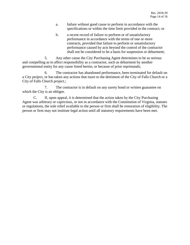- a. failure without good cause to perform in accordance with the specifications or within the time limit provided in the contract; or
- b. a recent record of failure to perform or of unsatisfactory performance in accordance with the terms of one or more contracts, provided that failure to perform or unsatisfactory performance caused by acts beyond the control of the contractor shall not be considered to be a basis for suspension or debarment;

5. Any other cause the City Purchasing Agent determines to be so serious and compelling as to affect responsibility as a contractor, such as debarment by another governmental entity for any cause listed herein, or because of prior reprimands;

6. The contractor has abandoned performance, been terminated for default on a City project, or has taken any actions that inure to the detriment of the City of Falls Church or a City of Falls Church project.;

7. The contractor is in default on any surety bond or written guarantee on which the City is an obligee.

<span id="page-16-0"></span>C. If, upon appeal, it is determined that the action taken by the City Purchasing Agent was arbitrary or capricious, or not in accordance with the Constitution of Virginia, statutes or regulations, the sole relief available to the person or firm shall be restoration of eligibility. The person or firm may not institute legal action until all statutory requirements have been met.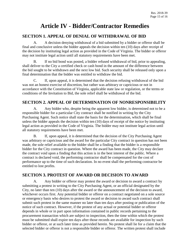# **Article IV - Bidder/Contractor Remedies**

# <span id="page-17-0"></span>**SECTION 1. APPEAL OF DENIAL OF WITHDRAWAL OF BID**

A. A decision denying withdrawal of a bid submitted by a bidder or offeror shall be final and conclusive unless the bidder appeals the decision within ten (10) days after receipt of the decision by instituting legal action as provided in the Code of Virginia. The bidder or offeror may not institute legal action until all statutory requirements have been met.

B. If no bid bond was posted, a bidder refused withdrawal of bid, prior to appealing, shall deliver to the City a certified check or cash bond in the amount of the difference between the bid sought to be withdrawn and the next low bid. Such security shall be released only upon a final determination that the bidder was entitled to withdraw the bid.

C. If, upon appeal, it is determined that the decision refusing withdrawal of the bid was not an honest exercise of discretion, but rather was arbitrary or capricious or not in accordance with the Constitution of Virginia, applicable state law or regulation, or the terms or conditions of the Invitation to Bid, the sole relief shall be withdrawal of the bid.

# <span id="page-17-1"></span>**SECTION 2. APPEAL OF DETERMINATION OF NONRESPONSIBILITY**

A. Any bidder who, despite being the apparent low bidder, is determined not to be a responsible bidder for a particular City contract shall be notified in writing by the City Purchasing Agent. Such notice shall state the basis for the determination, which shall be final unless the bidder appeals the decision within ten (10) days of receipt of the notice by instituting legal action as provided in the Code of Virginia. The bidder may not institute legal action until all statutory requirements have been met.

B. If, upon appeal, it is determined that the decision of the City Purchasing Agent was arbitrary or capricious and the award for the particular City contract in question has not been made, the sole relief available to the bidder shall be a finding that the bidder is a responsible bidder for the City contract in question. Where the award has been made, the City may declare the contract void upon a finding that this action is in the best interest of the public. Where a contract is declared void, the performing contractor shall be compensated for the cost of performance up to the time of such declaration. In no event shall the performing contractor be entitled to lost profits.

# <span id="page-17-2"></span>**SECTION 3. PROTEST OF AWARD OR DECISION TO AWARD**

Any bidder or offeror may protest the award or decision to award a contract by submitting a protest in writing to the City Purchasing Agent, or an official designated by the City, no later than ten (10) days after the award or the announcement of the decision to award, whichever occurs first. Any potential bidder or offeror on a contract negotiated on a sole source or emergency basis who desires to protest the award or decision to award such contract shall submit such protest in the same manner no later than ten days after posting or publication of the notice of such contract. However, if the protest of any actual or potential bidder or offeror depends in whole or in part upon information contained in public records pertaining to the procurement transaction which are subject to inspection, then the time within which the protest must be submitted shall expire ten days after those records are available for inspection by such bidder or offeror, or at such later time as provided herein. No protest shall lie for a claim that the selected bidder or offeror is not a responsible bidder or offeror. The written protest shall include